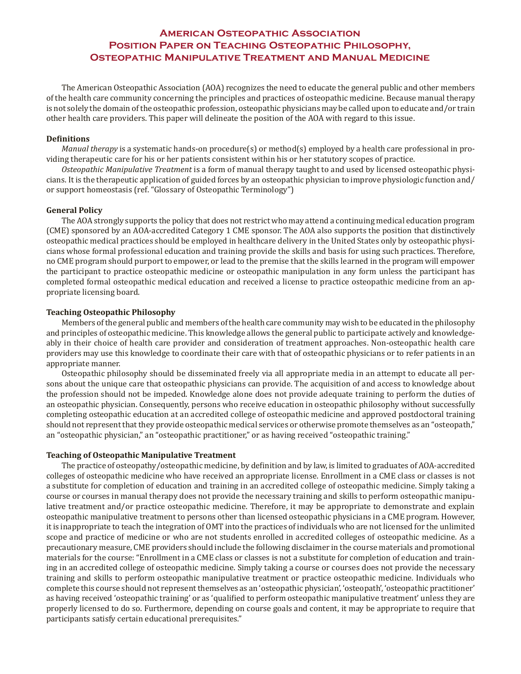# **American Osteopathic Association Position Paper on Teaching Osteopathic Philosophy, Osteopathic Manipulative Treatment and Manual Medicine**

The American Osteopathic Association (AOA) recognizes the need to educate the general public and other members of the health care community concerning the principles and practices of osteopathic medicine. Because manual therapy is not solely the domain of the osteopathic profession, osteopathic physicians may be called upon to educate and/or train other health care providers. This paper will delineate the position of the AOA with regard to this issue.

### **Definitions**

*Manual therapy* is a systematic hands-on procedure(s) or method(s) employed by a health care professional in providing therapeutic care for his or her patients consistent within his or her statutory scopes of practice.

*Osteopathic Manipulative Treatment* is a form of manual therapy taught to and used by licensed osteopathic physicians. It is the therapeutic application of guided forces by an osteopathic physician to improve physiologic function and/ or support homeostasis (ref. "Glossary of Osteopathic Terminology")

### **General Policy**

The AOA strongly supports the policy that does not restrict who may attend a continuing medical education program (CME) sponsored by an AOA-accredited Category 1 CME sponsor. The AOA also supports the position that distinctively osteopathic medical practices should be employed in healthcare delivery in the United States only by osteopathic physicians whose formal professional education and training provide the skills and basis for using such practices. Therefore, no CME program should purport to empower, or lead to the premise that the skills learned in the program will empower the participant to practice osteopathic medicine or osteopathic manipulation in any form unless the participant has completed formal osteopathic medical education and received a license to practice osteopathic medicine from an appropriate licensing board.

### **Teaching Osteopathic Philosophy**

Members of the general public and members of the health care community may wish to be educated in the philosophy and principles of osteopathic medicine. This knowledge allows the general public to participate actively and knowledgeably in their choice of health care provider and consideration of treatment approaches. Non-osteopathic health care providers may use this knowledge to coordinate their care with that of osteopathic physicians or to refer patients in an appropriate manner.

Osteopathic philosophy should be disseminated freely via all appropriate media in an attempt to educate all persons about the unique care that osteopathic physicians can provide. The acquisition of and access to knowledge about the profession should not be impeded. Knowledge alone does not provide adequate training to perform the duties of an osteopathic physician. Consequently, persons who receive education in osteopathic philosophy without successfully completing osteopathic education at an accredited college of osteopathic medicine and approved postdoctoral training should not represent that they provide osteopathic medical services or otherwise promote themselves as an "osteopath," an "osteopathic physician," an "osteopathic practitioner," or as having received "osteopathic training."

#### **Teaching of Osteopathic Manipulative Treatment**

The practice of osteopathy/osteopathic medicine, by definition and by law, is limited to graduates of AOA-accredited colleges of osteopathic medicine who have received an appropriate license. Enrollment in a CME class or classes is not a substitute for completion of education and training in an accredited college of osteopathic medicine. Simply taking a course or courses in manual therapy does not provide the necessary training and skills to perform osteopathic manipulative treatment and/or practice osteopathic medicine. Therefore, it may be appropriate to demonstrate and explain osteopathic manipulative treatment to persons other than licensed osteopathic physicians in a CME program. However, it is inappropriate to teach the integration of OMT into the practices of individuals who are not licensed for the unlimited scope and practice of medicine or who are not students enrolled in accredited colleges of osteopathic medicine. As a precautionary measure, CME providers should include the following disclaimer in the course materials and promotional materials for the course: "Enrollment in a CME class or classes is not a substitute for completion of education and training in an accredited college of osteopathic medicine. Simply taking a course or courses does not provide the necessary training and skills to perform osteopathic manipulative treatment or practice osteopathic medicine. Individuals who complete this course should not represent themselves as an 'osteopathic physician', 'osteopath', 'osteopathic practitioner' as having received 'osteopathic training' or as 'qualified to perform osteopathic manipulative treatment' unless they are properly licensed to do so. Furthermore, depending on course goals and content, it may be appropriate to require that participants satisfy certain educational prerequisites."